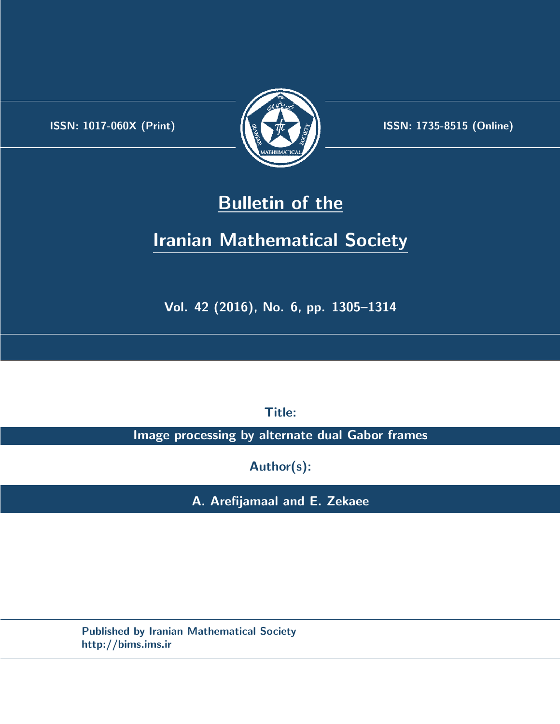.



**ISSN:** 1017-060X (Print)  $\left| \left( \frac{1}{2} \sum \frac{1}{k} \right) \right|$  **ISSN:** 1735-8515 (Online)

# **Bulletin of the**

# **Iranian Mathematical Society**

**Vol. 42 (2016), No. 6, pp. 1305–1314**

**Title:**

**Image processing by alternate dual Gabor frames**

**Author(s):**

**A. Arefijamaal and E. Zekaee**

**Published by Iranian Mathematical Society http://bims.ims.ir**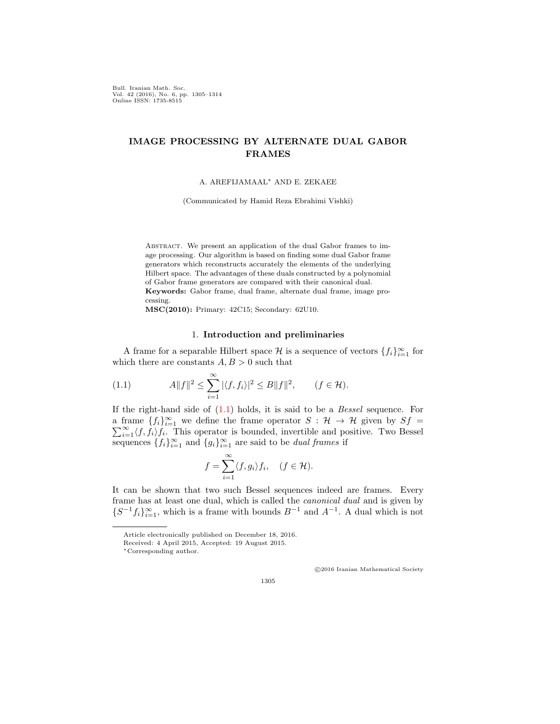Bull. Iranian Math. Soc. Vol. 42 (2016), No. 6, pp. 1305–1314 Online ISSN: 1735-8515

# **IMAGE PROCESSING BY ALTERNATE DUAL GABOR FRAMES**

A. AREFIJAMAAL*∗* AND E. ZEKAEE

(Communicated by Hamid Reza Ebrahimi Vishki)

ABSTRACT. We present an application of the dual Gabor frames to image processing. Our algorithm is based on finding some dual Gabor frame generators which reconstructs accurately the elements of the underlying Hilbert space. The advantages of these duals constructed by a polynomial of Gabor frame generators are compared with their canonical dual. **Keywords:** Gabor frame, dual frame, alternate dual frame, image processing.

**MSC(2010):** Primary: 42C15; Secondary: 62U10.

### <span id="page-1-0"></span>1. **Introduction and preliminaries**

A frame for a separable Hilbert space  $\mathcal{H}$  is a sequence of vectors  $\{f_i\}_{i=1}^{\infty}$  for which there are constants  $A, B > 0$  such that

(1.1) 
$$
A||f||^2 \leq \sum_{i=1}^{\infty} |\langle f, f_i \rangle|^2 \leq B||f||^2, \qquad (f \in \mathcal{H}).
$$

If the right-hand side of [\(1.1\)](#page-1-0) holds, it is said to be a *Bessel* sequence. For a frame  $\{f_i\}_{i=1}^{\infty}$  we define the frame operator  $S : \mathcal{H} \to \mathcal{H}$  given by  $Sf =$  $\sum_{i=1}^{\infty} \langle f, f_i \rangle f_i$ . This operator is bounded, invertible and positive. Two Bessel sequences  $\{f_i\}_{i=1}^{\infty}$  and  $\{g_i\}_{i=1}^{\infty}$  are said to be *dual frames* if

$$
f = \sum_{i=1}^{\infty} \langle f, g_i \rangle f_i, \quad (f \in \mathcal{H}).
$$

It can be shown that two such Bessel sequences indeed are frames. Every frame has at least one dual, which is called the *canonical dual* and is given by  ${S^{-1}}f_i$ <sup>2</sup>, which is a frame with bounds  $B^{-1}$  and  $A^{-1}$ . A dual which is not

*⃝*c 2016 Iranian Mathematical Society

Article electronically published on December 18, 2016.

Received: 4 April 2015, Accepted: 19 August 2015.

*<sup>∗</sup>*Corresponding author.

<sup>1305</sup>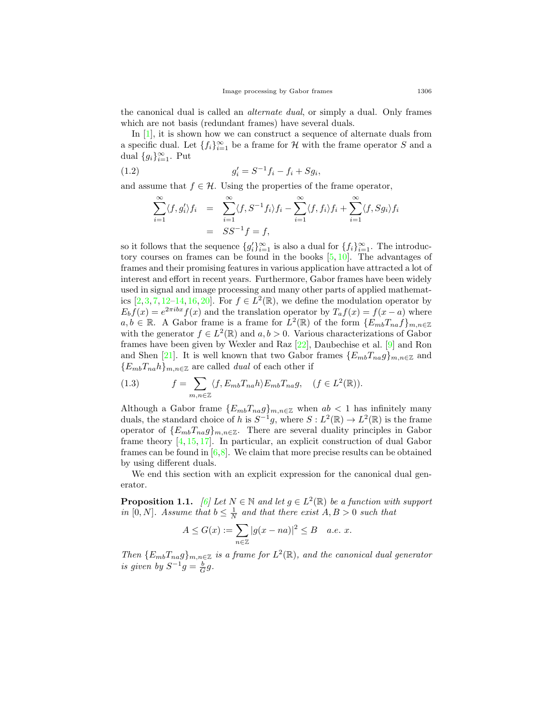the canonical dual is called an *alternate dual*, or simply a dual. Only frames which are not basis (redundant frames) have several duals.

In [\[1](#page-9-0)], it is shown how we can construct a sequence of alternate duals from a specific dual. Let  $\{f_i\}_{i=1}^{\infty}$  be a frame for  $\mathcal H$  with the frame operator  $S$  and a dual  $\{g_i\}_{i=1}^{\infty}$ . Put

(1.2) 
$$
g'_i = S^{-1}f_i - f_i + Sg_i,
$$

and assume that  $f \in \mathcal{H}$ . Using the properties of the frame operator,

<span id="page-2-1"></span>
$$
\sum_{i=1}^{\infty} \langle f, g'_i \rangle f_i = \sum_{i=1}^{\infty} \langle f, S^{-1} f_i \rangle f_i - \sum_{i=1}^{\infty} \langle f, f_i \rangle f_i + \sum_{i=1}^{\infty} \langle f, S g_i \rangle f_i
$$

$$
= SS^{-1} f = f,
$$

so it follows that the sequence  ${g'_i}_{i=1}^{\infty}$  is also a dual for  ${f_i}_{i=1}^{\infty}$ . The introductory courses on frames can be found in the books  $[5, 10]$  $[5, 10]$  $[5, 10]$  $[5, 10]$ . The advantages of frames and their promising features in various application have attracted a lot of interest and effort in recent years. Furthermore, Gabor frames have been widely used in signal and image processing and many other parts of applied mathematics  $[2, 3, 7, 12-14, 16, 20]$  $[2, 3, 7, 12-14, 16, 20]$  $[2, 3, 7, 12-14, 16, 20]$  $[2, 3, 7, 12-14, 16, 20]$  $[2, 3, 7, 12-14, 16, 20]$  $[2, 3, 7, 12-14, 16, 20]$  $[2, 3, 7, 12-14, 16, 20]$  $[2, 3, 7, 12-14, 16, 20]$  $[2, 3, 7, 12-14, 16, 20]$  $[2, 3, 7, 12-14, 16, 20]$  $[2, 3, 7, 12-14, 16, 20]$  $[2, 3, 7, 12-14, 16, 20]$ . For  $f \in L^2(\mathbb{R})$ , we define the modulation operator by  $E_b f(x) = e^{2\pi ibx} f(x)$  and the translation operator by  $T_a f(x) = f(x - a)$  where  $a, b \in \mathbb{R}$ . A Gabor frame is a frame for  $L^2(\mathbb{R})$  of the form  $\{E_{mb}T_{na}f\}_{m,n\in\mathbb{Z}}$ with the generator  $f \in L^2(\mathbb{R})$  and  $a, b > 0$ . Various characterizations of Gabor frames have been given by Wexler and Raz [[22](#page-10-5)], Daubechise et al. [\[9](#page-9-5)] and Ron and Shen [\[21](#page-10-6)]. It is well known that two Gabor frames  ${E_{mb}}T_{na}g_{mn,\epsilon\mathbb{Z}}$  and  ${E_{mb}}$ *T*<sub>na</sub>*h* $}$ <sup>*m*</sup>*nn*<sub> $\in \mathbb{Z}$  are called *dual* of each other if</sub>

<span id="page-2-2"></span>(1.3) 
$$
f = \sum_{m,n \in \mathbb{Z}} \langle f, E_{mb} T_{na} h \rangle E_{mb} T_{na} g, \quad (f \in L^2(\mathbb{R})).
$$

Although a Gabor frame  ${E_{mb}}T_{na}g_{mn,n\in\mathbb{Z}}$  when  $ab < 1$  has infinitely many duals, the standard choice of *h* is  $S^{-1}g$ , where  $S: L^2(\mathbb{R}) \to L^2(\mathbb{R})$  is the frame operator of  ${E_{mb}}T_{na}g$ <sub>*m,n* $\in \mathbb{Z}$ . There are several duality principles in Gabor</sub> frame theory  $[4, 15, 17]$  $[4, 15, 17]$  $[4, 15, 17]$  $[4, 15, 17]$  $[4, 15, 17]$ . In particular, an explicit construction of dual Gabor frames can be found in  $[6,8]$  $[6,8]$  $[6,8]$  $[6,8]$ . We claim that more precise results can be obtained by using different duals.

We end this section with an explicit expression for the canonical dual generator.

<span id="page-2-0"></span>**Proposition 1.1.** [[6](#page-9-7)] Let  $N \in \mathbb{N}$  and let  $g \in L^2(\mathbb{R})$  be a function with support *in* [0*, N*]*. Assume that*  $b \leq \frac{1}{N}$  *and that there exist*  $A, B > 0$  *such that* 

$$
A \le G(x) := \sum_{n \in \mathbb{Z}} |g(x - na)|^2 \le B \quad a.e. \ x.
$$

*Then*  ${E_{mb}}T_{na}g$ <sub>*m,n* $\in \mathbb{Z}$  *is a frame for*  $L^2(\mathbb{R})$ *, and the canonical dual generator*</sub> *is given by*  $S^{-1}g = \frac{b}{G}g$ .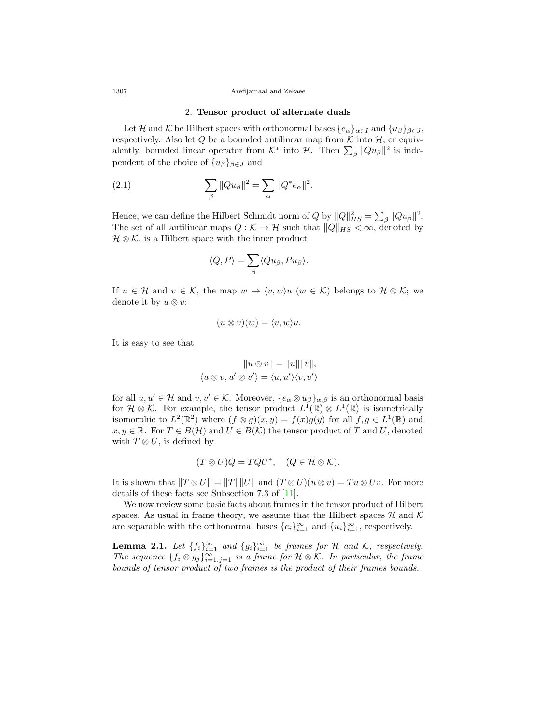### 1307 Arefijamaal and Zekaee

## <span id="page-3-0"></span>2. **Tensor product of alternate duals**

Let *H* and *K* be Hilbert spaces with orthonormal bases  $\{e_{\alpha}\}_{{\alpha \in I}}$  and  $\{u_{\beta}\}_{{\beta \in J}}$ , respectively. Also let  $Q$  be a bounded antilinear map from  $K$  into  $H$ , or equivalently, bounded linear operator from  $K^*$  into  $H$ . Then  $\sum_{\beta} ||Qu_{\beta}||^2$  is independent of the choice of  $\{u_\beta\}_{\beta \in J}$  and

(2.1) 
$$
\sum_{\beta} ||Qu_{\beta}||^{2} = \sum_{\alpha} ||Q^{*}e_{\alpha}||^{2}.
$$

Hence, we can define the Hilbert Schmidt norm of *Q* by  $||Q||_{HS}^2 = \sum_{\beta} ||Qu_{\beta}||^2$ . The set of all antilinear maps  $Q : \mathcal{K} \to \mathcal{H}$  such that  $||Q||_{HS} < \infty$ , denoted by *H* ⊗ *K*, is a Hilbert space with the inner product

$$
\langle Q, P \rangle = \sum_{\beta} \langle Qu_{\beta}, Pu_{\beta} \rangle.
$$

If  $u \in \mathcal{H}$  and  $v \in \mathcal{K}$ , the map  $w \mapsto \langle v, w \rangle u$  ( $w \in \mathcal{K}$ ) belongs to  $\mathcal{H} \otimes \mathcal{K}$ ; we denote it by  $u \otimes v$ :

$$
(u \otimes v)(w) = \langle v, w \rangle u.
$$

It is easy to see that

$$
||u \otimes v|| = ||u|| ||v||,
$$
  

$$
\langle u \otimes v, u' \otimes v' \rangle = \langle u, u' \rangle \langle v, v' \rangle
$$

for all  $u, u' \in \mathcal{H}$  and  $v, v' \in \mathcal{K}$ . Moreover,  $\{e_\alpha \otimes u_\beta\}_{\alpha, \beta}$  is an orthonormal basis for  $\mathcal{H} \otimes \mathcal{K}$ . For example, the tensor product  $L^1(\mathbb{R}) \otimes L^1(\mathbb{R})$  is isometrically isomorphic to  $L^2(\mathbb{R}^2)$  where  $(f \otimes g)(x, y) = f(x)g(y)$  for all  $f, g \in L^1(\mathbb{R})$  and *x*, *y* ∈ **R**. For *T* ∈ *B*(*H*) and *U* ∈ *B*(*K*) the tensor product of *T* and *U*, denoted with  $T \otimes U$ , is defined by

$$
(T \otimes U)Q = TQU^*, \quad (Q \in \mathcal{H} \otimes \mathcal{K}).
$$

It is shown that  $||T \otimes U|| = ||T|| ||U||$  and  $(T \otimes U)(u \otimes v) = Tu \otimes Uv$ . For more details of these facts see Subsection 7.3 of [\[11](#page-10-9)].

We now review some basic facts about frames in the tensor product of Hilbert spaces. As usual in frame theory, we assume that the Hilbert spaces  $\mathcal{H}$  and  $\mathcal{K}$ are separable with the orthonormal bases  $\{e_i\}_{i=1}^{\infty}$  and  $\{u_i\}_{i=1}^{\infty}$ , respectively.

**Lemma 2.1.** *Let*  $\{f_i\}_{i=1}^{\infty}$  *and*  $\{g_i\}_{i=1}^{\infty}$  *be frames for H and K, respectively. The sequence*  $\{f_i \otimes g_j\}_{i=1,j=1}^{\infty}$  *is a frame for*  $\mathcal{H} \otimes \mathcal{K}$ *. In particular, the frame bounds of tensor product of two frames is the product of their frames bounds.*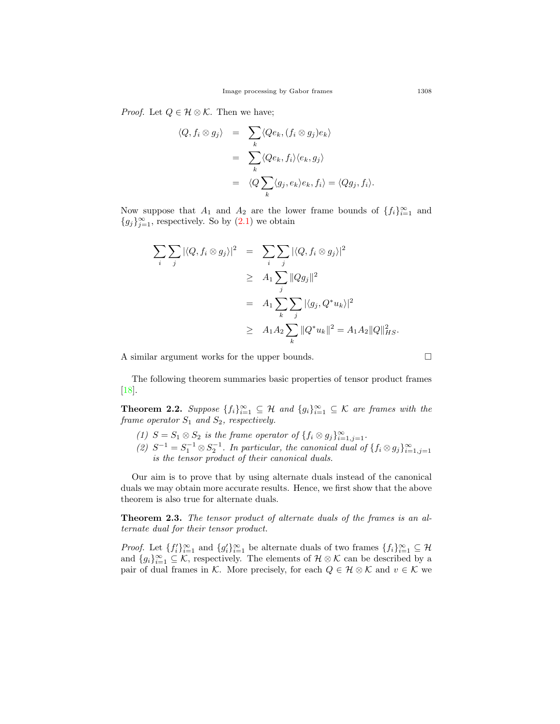*Proof.* Let  $Q \in \mathcal{H} \otimes \mathcal{K}$ . Then we have;

$$
\langle Q, f_i \otimes g_j \rangle = \sum_k \langle Qe_k, (f_i \otimes g_j)e_k \rangle
$$
  
= 
$$
\sum_k \langle Qe_k, f_i \rangle \langle e_k, g_j \rangle
$$
  
= 
$$
\langle Q \sum_k \langle g_j, e_k \rangle e_k, f_i \rangle = \langle Qg_j, f_i \rangle.
$$

Now suppose that  $A_1$  and  $A_2$  are the lower frame bounds of  $\{f_i\}_{i=1}^{\infty}$  and  ${g_j}_{j=1}^{\infty}$ , respectively. So by [\(2.1](#page-3-0)) we obtain

$$
\sum_{i} \sum_{j} |\langle Q, f_i \otimes g_j \rangle|^2 = \sum_{i} \sum_{j} |\langle Q, f_i \otimes g_j \rangle|^2
$$
  
\n
$$
\geq A_1 \sum_{j} ||Qg_j||^2
$$
  
\n
$$
= A_1 \sum_{k} \sum_{j} |\langle g_j, Q^* u_k \rangle|^2
$$
  
\n
$$
\geq A_1 A_2 \sum_{k} ||Q^* u_k||^2 = A_1 A_2 ||Q||_{HS}^2.
$$

A similar argument works for the upper bounds. □

The following theorem summaries basic properties of tensor product frames [[18\]](#page-10-10).

**Theorem 2.2.** *Suppose*  $\{f_i\}_{i=1}^{\infty} \subseteq \mathcal{H}$  *and*  $\{g_i\}_{i=1}^{\infty} \subseteq \mathcal{K}$  *are frames with the frame operator S*<sup>1</sup> *and S*2*, respectively.*

- (1) *S* = *S*<sub>1</sub>  $\otimes$  *S*<sub>2</sub> *is the frame operator of*  $\{f_i \otimes g_j\}_{i=1,j=1}^{\infty}$ .
- *(2)*  $S^{-1} = S_1^{-1} \otimes S_2^{-1}$ . In particular, the canonical dual of  $\{f_i \otimes g_j\}_{i=1,j=1}^\infty$ *is the tensor product of their canonical duals.*

Our aim is to prove that by using alternate duals instead of the canonical duals we may obtain more accurate results. Hence, we first show that the above theorem is also true for alternate duals.

**Theorem 2.3.** *The tensor product of alternate duals of the frames is an alternate dual for their tensor product.*

*Proof.* Let  $\{f_i'\}_{i=1}^{\infty}$  and  $\{g_i'\}_{i=1}^{\infty}$  be alternate duals of two frames  $\{f_i\}_{i=1}^{\infty} \subseteq \mathcal{H}$ and  ${g_i}_{i=1}^{\infty} \subseteq \mathcal{K}$ , respectively. The elements of  $\mathcal{H} \otimes \mathcal{K}$  can be described by a pair of dual frames in *K*. More precisely, for each  $Q \in \mathcal{H} \otimes \mathcal{K}$  and  $v \in \mathcal{K}$  we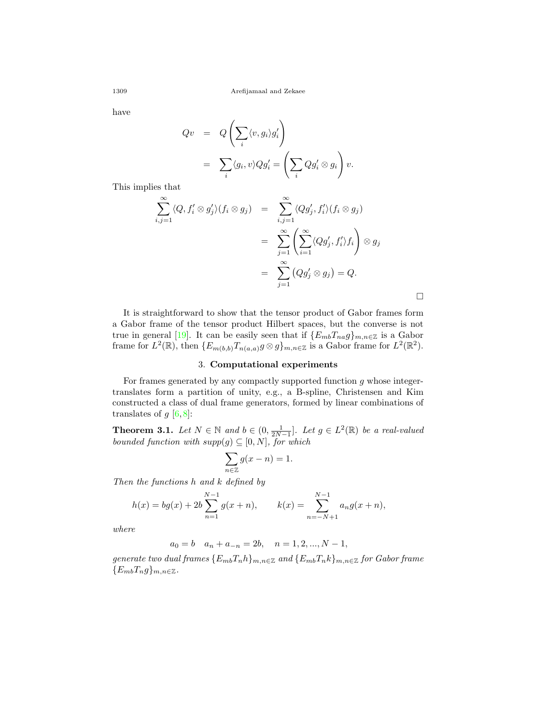have

$$
Qv = Q\left(\sum_{i} \langle v, g_i \rangle g'_i\right)
$$
  
=  $\sum_{i} \langle g_i, v \rangle Qg'_i = \left(\sum_{i} Qg'_i \otimes g_i\right)v.$ 

This implies that

$$
\sum_{i,j=1}^{\infty} \langle Q, f'_i \otimes g'_j \rangle (f_i \otimes g_j) = \sum_{i,j=1}^{\infty} \langle Qg'_j, f'_i \rangle (f_i \otimes g_j)
$$
  
= 
$$
\sum_{j=1}^{\infty} \left( \sum_{i=1}^{\infty} \langle Qg'_j, f'_i \rangle f_i \right) \otimes g_j
$$
  
= 
$$
\sum_{j=1}^{\infty} (Qg'_j \otimes g_j) = Q.
$$

□

It is straightforward to show that the tensor product of Gabor frames form a Gabor frame of the tensor product Hilbert spaces, but the converse is not true in general [[19\]](#page-10-11). It can be easily seen that if  ${E_{mb}}{T_{na}}g_{m,n\in\mathbb{Z}}$  is a Gabor frame for  $L^2(\mathbb{R})$ , then  $\{E_{m(b,b)}T_{n(a,a)}g\otimes g\}_{m,n\in\mathbb{Z}}$  is a Gabor frame for  $L^2(\mathbb{R}^2)$ .

## 3. **Computational experiments**

For frames generated by any compactly supported function *g* whose integertranslates form a partition of unity, e.g., a B-spline, Christensen and Kim constructed a class of dual frame generators, formed by linear combinations of translates of  $g$  [\[6](#page-9-7),[8](#page-9-8)]:

<span id="page-5-0"></span>**Theorem 3.1.** *Let*  $N \in \mathbb{N}$  *and*  $b \in (0, \frac{1}{2N-1}]$ *. Let*  $g \in L^2(\mathbb{R})$  *be a real-valued bounded function with*  $supp(g) \subseteq [0, N]$ *, for which* 

$$
\sum_{n \in \mathbb{Z}} g(x - n) = 1.
$$

*Then the functions h and k defined by*

$$
h(x) = bg(x) + 2b \sum_{n=1}^{N-1} g(x+n), \qquad k(x) = \sum_{n=-N+1}^{N-1} a_n g(x+n),
$$

*where*

$$
a_0 = b \quad a_n + a_{-n} = 2b, \quad n = 1, 2, ..., N - 1,
$$

*generate two dual frames*  ${E_{mb}T_n h}_{m,n \in \mathbb{Z}}$  *and*  ${E_{mb}T_n k}_{m,n \in \mathbb{Z}}$  *for Gabor frame*  ${E_{mb}T_n g}_{m,n \in \mathbb{Z}}$ .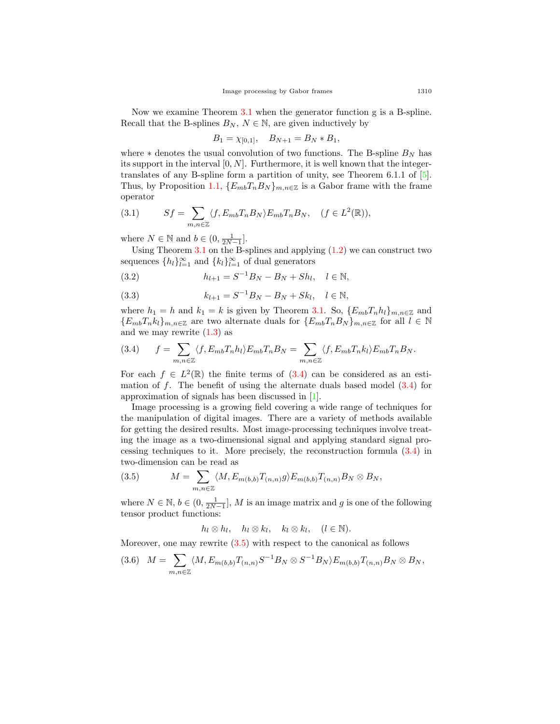Now we examine Theorem [3.1](#page-5-0) when the generator function g is a B-spline. Recall that the B-splines  $B_N$ ,  $N \in \mathbb{N}$ , are given inductively by

$$
B_1 = \chi_{[0,1]}, \quad B_{N+1} = B_N * B_1,
$$

where  $*$  denotes the usual convolution of two functions. The B-spline  $B_N$  has its support in the interval [0*, N*]. Furthermore, it is well known that the integertranslates of any B-spline form a partition of unity, see Theorem 6.1.1 of [[5\]](#page-9-1). Thus, by Proposition [1.1,](#page-2-0)  ${E_{mb}T_nB_N}_{m,n\in\mathbb{Z}}$  is a Gabor frame with the frame operator

<span id="page-6-2"></span>(3.1) 
$$
Sf = \sum_{m,n \in \mathbb{Z}} \langle f, E_{mb} T_n B_N \rangle E_{mb} T_n B_N, \quad (f \in L^2(\mathbb{R})),
$$

where  $N \in \mathbb{N}$  and  $b \in (0, \frac{1}{2N-1}]$ .

Using Theorem  $3.1$  on the B-splines and applying  $(1.2)$  $(1.2)$  $(1.2)$  we can construct two sequences  $\{h_l\}_{l=1}^{\infty}$  and  $\{k_l\}_{l=1}^{\infty}$  of dual generators

(3.2) 
$$
h_{l+1} = S^{-1}B_N - B_N + Sh_l, \quad l \in \mathbb{N},
$$

(3.3) 
$$
k_{l+1} = S^{-1}B_N - B_N + Sk_l, \quad l \in \mathbb{N},
$$

where  $h_1 = h$  and  $k_1 = k$  is given by Theorem [3.1](#page-5-0). So,  $\{E_{mb}T_nh_l\}_{m,n\in\mathbb{Z}}$  and  ${E_{mb}}T_nk_l$ <sub>m,n∈Z</sub> are two alternate duals for  ${E_{mb}}T_nB_N$ <sub>m,n∈Z</sub> for all  $l \in \mathbb{N}$ and we may rewrite [\(1.3](#page-2-2)) as

<span id="page-6-0"></span>(3.4) 
$$
f = \sum_{m,n \in \mathbb{Z}} \langle f, E_{mb} T_n h_l \rangle E_{mb} T_n B_N = \sum_{m,n \in \mathbb{Z}} \langle f, E_{mb} T_n k_l \rangle E_{mb} T_n B_N.
$$

For each  $f \in L^2(\mathbb{R})$  the finite terms of  $(3.4)$  $(3.4)$  $(3.4)$  can be considered as an estimation of *f*. The benefit of using the alternate duals based model ([3.4](#page-6-0)) for approximation of signals has been discussed in [[1](#page-9-0)].

Image processing is a growing field covering a wide range of techniques for the manipulation of digital images. There are a variety of methods available for getting the desired results. Most image-processing techniques involve treating the image as a two-dimensional signal and applying standard signal processing techniques to it. More precisely, the reconstruction formula ([3.4\)](#page-6-0) in two-dimension can be read as

<span id="page-6-1"></span>(3.5) 
$$
M = \sum_{m,n \in \mathbb{Z}} \langle M, E_{m(b,b)} T_{(n,n)} g \rangle E_{m(b,b)} T_{(n,n)} B_N \otimes B_N,
$$

where  $N \in \mathbb{N}, b \in (0, \frac{1}{2N-1}], M$  is an image matrix and *g* is one of the following tensor product functions:

$$
h_l \otimes h_l, \quad h_l \otimes k_l, \quad k_l \otimes k_l, \quad (l \in \mathbb{N}).
$$

Moreover, one may rewrite  $(3.5)$  with respect to the canonical as follows

<span id="page-6-3"></span>
$$
(3.6) \quad M = \sum_{m,n \in \mathbb{Z}} \langle M, E_{m(b,b)} T_{(n,n)} S^{-1} B_N \otimes S^{-1} B_N \rangle E_{m(b,b)} T_{(n,n)} B_N \otimes B_N,
$$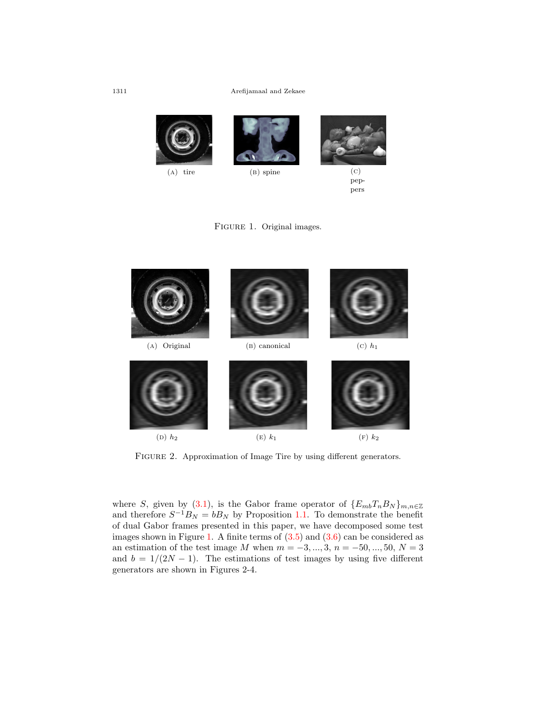## 1311 Arefijamaal and Zekaee



peppers

<span id="page-7-0"></span>



FIGURE 2. Approximation of Image Tire by using different generators.

where *S*, given by ([3.1\)](#page-6-2), is the Gabor frame operator of  ${E_{mb}}T_nB_N\}_{m,n\in\mathbb{Z}}$ and therefore  $S^{-1}B_N = bB_N$  by Proposition [1.1.](#page-2-0) To demonstrate the benefit of dual Gabor frames presented in this paper, we have decomposed some test images shown in Figure [1](#page-7-0). A finite terms of  $(3.5)$  $(3.5)$  and  $(3.6)$  $(3.6)$  $(3.6)$  can be considered as an estimation of the test image *M* when  $m = -3, ..., 3, n = -50, ..., 50, N = 3$ and  $b = 1/(2N - 1)$ . The estimations of test images by using five different generators are shown in Figures 2-4.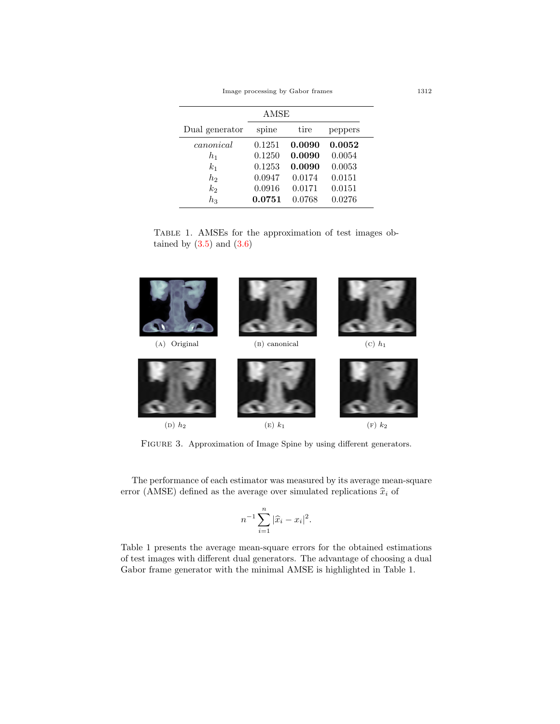Image processing by Gabor frames 1312

| AMSE           |        |        |         |
|----------------|--------|--------|---------|
| Dual generator | spine  | tire   | peppers |
| canonical      | 0.1251 | 0.0090 | 0.0052  |
| $h_1$          | 0.1250 | 0.0090 | 0.0054  |
| k <sub>1</sub> | 0.1253 | 0.0090 | 0.0053  |
| $h_2$          | 0.0947 | 0.0174 | 0.0151  |
| $k_2$          | 0.0916 | 0.0171 | 0.0151  |
| $h_{3}$        | 0.0751 | 0.0768 | 0.0276  |

Table 1. AMSEs for the approximation of test images obtained by  $(3.5)$  and  $(3.6)$  $(3.6)$ 



FIGURE 3. Approximation of Image Spine by using different generators.

The performance of each estimator was measured by its average mean-square error (AMSE) defined as the average over simulated replications  $\hat{x}_i$  of

$$
n^{-1} \sum_{i=1}^{n} |\widehat{x}_i - x_i|^2.
$$

Table 1 presents the average mean-square errors for the obtained estimations of test images with different dual generators. The advantage of choosing a dual Gabor frame generator with the minimal AMSE is highlighted in Table 1.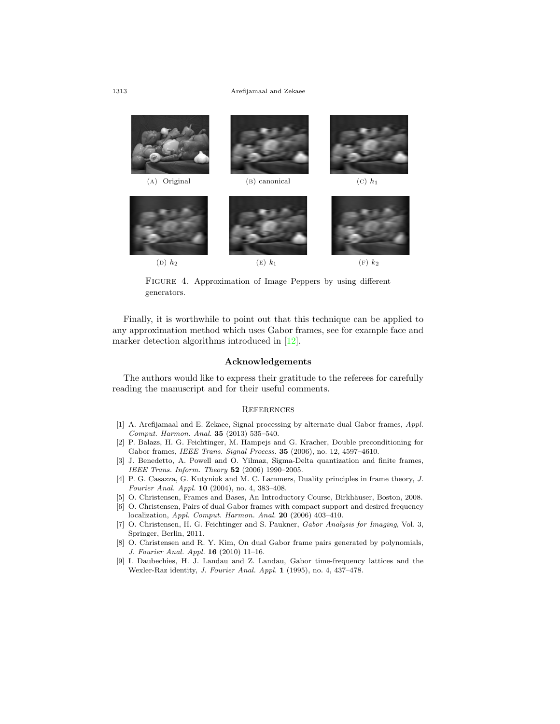#### 1313 Arefijamaal and Zekaee



FIGURE 4. Approximation of Image Peppers by using different generators.

Finally, it is worthwhile to point out that this technique can be applied to any approximation method which uses Gabor frames, see for example face and marker detection algorithms introduced in [[12\]](#page-10-1).

## **Acknowledgements**

The authors would like to express their gratitude to the referees for carefully reading the manuscript and for their useful comments.

#### **REFERENCES**

- <span id="page-9-0"></span>[1] A. Arefijamaal and E. Zekaee, Signal processing by alternate dual Gabor frames, *Appl. Comput. Harmon. Anal.* **35** (2013) 535–540.
- <span id="page-9-2"></span>[2] P. Balazs, H. G. Feichtinger, M. Hampejs and G. Kracher, Double preconditioning for Gabor frames, *IEEE Trans. Signal Process.* **35** (2006), no. 12, 4597–4610.
- <span id="page-9-3"></span>[3] J. Benedetto, A. Powell and O. Yilmaz, Sigma-Delta quantization and finite frames, *IEEE Trans. Inform. Theory* **52** (2006) 1990–2005.
- <span id="page-9-6"></span>[4] P. G. Casazza, G. Kutyniok and M. C. Lammers, Duality principles in frame theory, *J. Fourier Anal. Appl.* **10** (2004), no. 4, 383–408.
- <span id="page-9-1"></span>[5] O. Christensen, Frames and Bases, An Introductory Course, Birkhäuser, Boston, 2008.
- <span id="page-9-7"></span>[6] O. Christensen, Pairs of dual Gabor frames with compact support and desired frequency localization, *Appl. Comput. Harmon. Anal.* **20** (2006) 403–410.
- <span id="page-9-4"></span>[7] O. Christensen, H. G. Feichtinger and S. Paukner, *Gabor Analysis for Imaging*, Vol. 3, Springer, Berlin, 2011.
- <span id="page-9-8"></span>[8] O. Christensen and R. Y. Kim, On dual Gabor frame pairs generated by polynomials, *J. Fourier Anal. Appl.* **16** (2010) 11–16.
- <span id="page-9-5"></span>[9] I. Daubechies, H. J. Landau and Z. Landau, Gabor time-frequency lattices and the Wexler-Raz identity, *J. Fourier Anal. Appl.* **1** (1995), no. 4, 437–478.